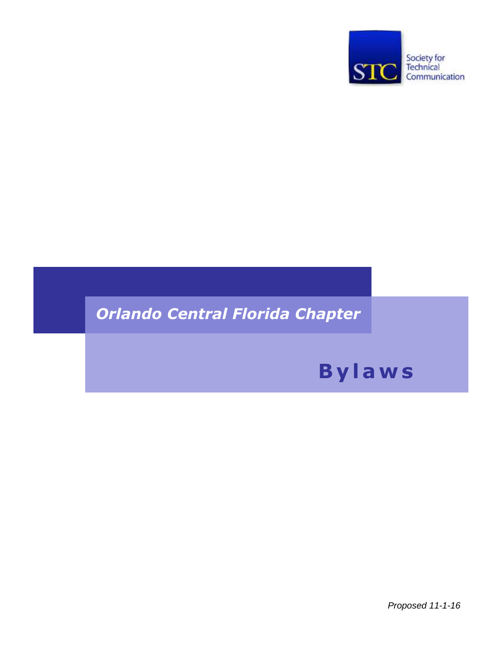

# **Orlando Central Florida Chapter**

# **Bylaws**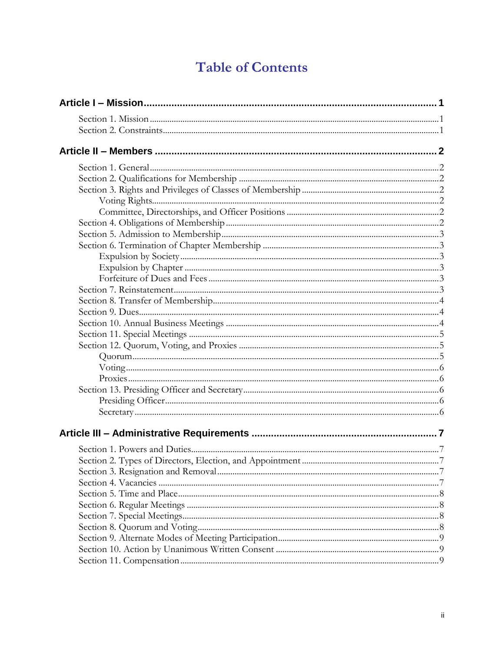# **Table of Contents**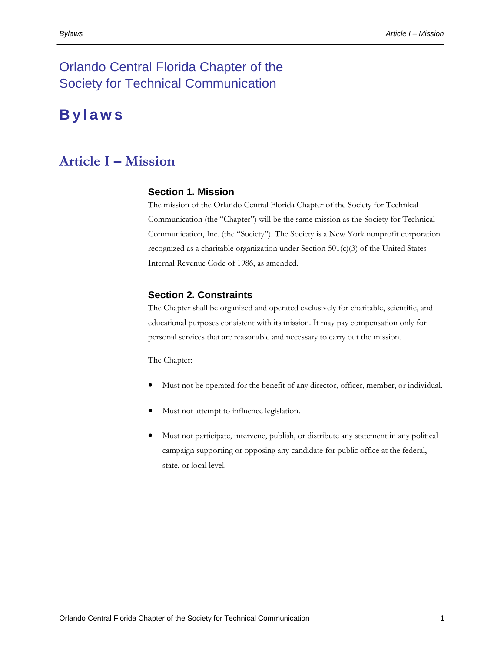# Orlando Central Florida Chapter of the Society for Technical Communication

# **B y l a w s**

# <span id="page-3-1"></span><span id="page-3-0"></span>**Article I – Mission**

#### **Section 1. Mission**

The mission of the Orlando Central Florida Chapter of the Society for Technical Communication (the "Chapter") will be the same mission as the Society for Technical Communication, Inc. (the "Society"). The Society is a New York nonprofit corporation recognized as a charitable organization under Section 501(c)(3) of the United States Internal Revenue Code of 1986, as amended.

#### <span id="page-3-2"></span>**Section 2. Constraints**

The Chapter shall be organized and operated exclusively for charitable, scientific, and educational purposes consistent with its mission. It may pay compensation only for personal services that are reasonable and necessary to carry out the mission.

The Chapter:

- Must not be operated for the benefit of any director, officer, member, or individual.
- Must not attempt to influence legislation.
- Must not participate, intervene, publish, or distribute any statement in any political campaign supporting or opposing any candidate for public office at the federal, state, or local level.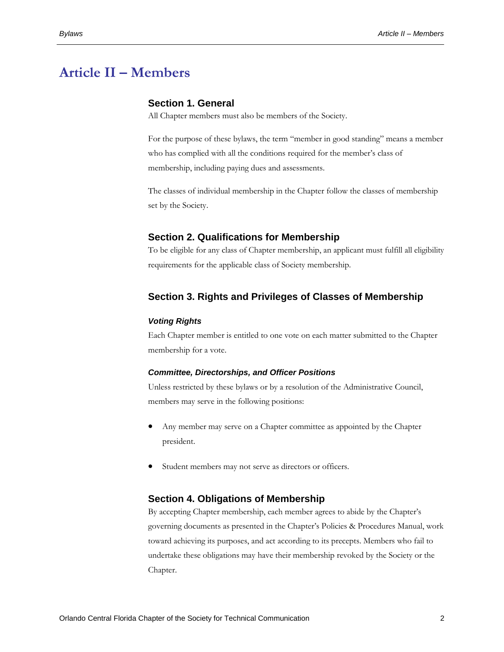# <span id="page-4-1"></span><span id="page-4-0"></span>**Article II – Members**

### **Section 1. General**

All Chapter members must also be members of the Society.

For the purpose of these bylaws, the term "member in good standing" means a member who has complied with all the conditions required for the member's class of membership, including paying dues and assessments.

The classes of individual membership in the Chapter follow the classes of membership set by the Society.

#### <span id="page-4-2"></span>**Section 2. Qualifications for Membership**

To be eligible for any class of Chapter membership, an applicant must fulfill all eligibility requirements for the applicable class of Society membership.

## <span id="page-4-3"></span>**Section 3. Rights and Privileges of Classes of Membership**

#### <span id="page-4-4"></span>*Voting Rights*

Each Chapter member is entitled to one vote on each matter submitted to the Chapter membership for a vote.

#### <span id="page-4-5"></span>*Committee, Directorships, and Officer Positions*

Unless restricted by these bylaws or by a resolution of the Administrative Council, members may serve in the following positions:

- Any member may serve on a Chapter committee as appointed by the Chapter president.
- Student members may not serve as directors or officers.

#### <span id="page-4-6"></span>**Section 4. Obligations of Membership**

By accepting Chapter membership, each member agrees to abide by the Chapter's governing documents as presented in the Chapter's Policies & Procedures Manual, work toward achieving its purposes, and act according to its precepts. Members who fail to undertake these obligations may have their membership revoked by the Society or the Chapter.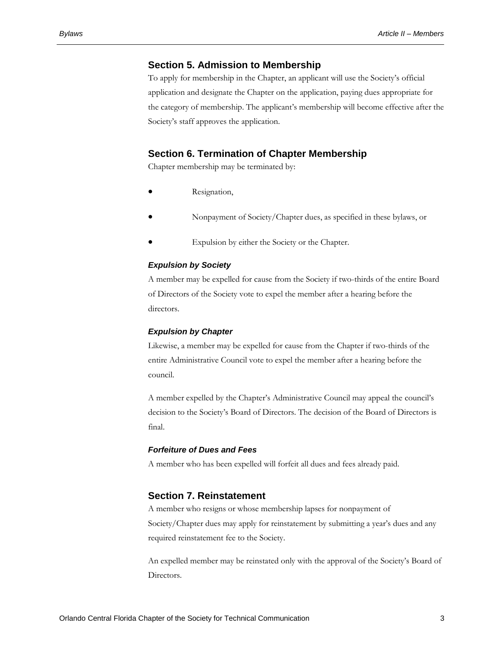### <span id="page-5-0"></span>**Section 5. Admission to Membership**

To apply for membership in the Chapter, an applicant will use the Society's official application and designate the Chapter on the application, paying dues appropriate for the category of membership. The applicant's membership will become effective after the Society's staff approves the application.

# <span id="page-5-1"></span>**Section 6. Termination of Chapter Membership**

Chapter membership may be terminated by:

- Resignation,
- Nonpayment of Society/Chapter dues, as specified in these bylaws, or
- Expulsion by either the Society or the Chapter.

#### <span id="page-5-2"></span>*Expulsion by Society*

A member may be expelled for cause from the Society if two-thirds of the entire Board of Directors of the Society vote to expel the member after a hearing before the directors.

#### <span id="page-5-3"></span>*Expulsion by Chapter*

Likewise, a member may be expelled for cause from the Chapter if two-thirds of the entire Administrative Council vote to expel the member after a hearing before the council.

A member expelled by the Chapter's Administrative Council may appeal the council's decision to the Society's Board of Directors. The decision of the Board of Directors is final.

#### <span id="page-5-4"></span>*Forfeiture of Dues and Fees*

A member who has been expelled will forfeit all dues and fees already paid.

### <span id="page-5-5"></span>**Section 7. Reinstatement**

A member who resigns or whose membership lapses for nonpayment of Society/Chapter dues may apply for reinstatement by submitting a year's dues and any required reinstatement fee to the Society.

An expelled member may be reinstated only with the approval of the Society's Board of Directors.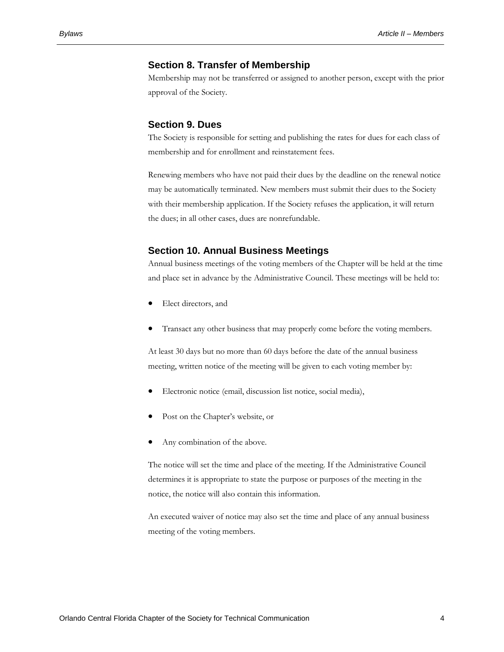#### <span id="page-6-0"></span>**Section 8. Transfer of Membership**

Membership may not be transferred or assigned to another person, except with the prior approval of the Society.

#### <span id="page-6-1"></span>**Section 9. Dues**

The Society is responsible for setting and publishing the rates for dues for each class of membership and for enrollment and reinstatement fees.

Renewing members who have not paid their dues by the deadline on the renewal notice may be automatically terminated. New members must submit their dues to the Society with their membership application. If the Society refuses the application, it will return the dues; in all other cases, dues are nonrefundable.

#### <span id="page-6-2"></span>**Section 10. Annual Business Meetings**

Annual business meetings of the voting members of the Chapter will be held at the time and place set in advance by the Administrative Council. These meetings will be held to:

- Elect directors, and
- Transact any other business that may properly come before the voting members.

At least 30 days but no more than 60 days before the date of the annual business meeting, written notice of the meeting will be given to each voting member by:

- Electronic notice (email, discussion list notice, social media),
- Post on the Chapter's website, or
- Any combination of the above.

The notice will set the time and place of the meeting. If the Administrative Council determines it is appropriate to state the purpose or purposes of the meeting in the notice, the notice will also contain this information.

An executed waiver of notice may also set the time and place of any annual business meeting of the voting members.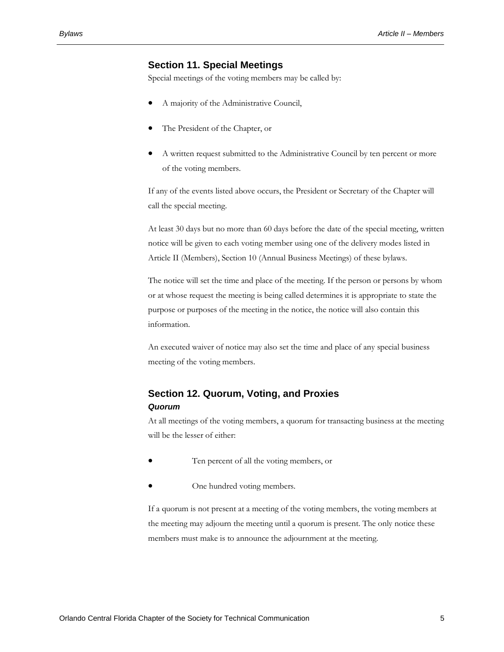### **Section 11. Special Meetings**

<span id="page-7-0"></span>Special meetings of the voting members may be called by:

- A majority of the Administrative Council,
- The President of the Chapter, or
- A written request submitted to the Administrative Council by ten percent or more of the voting members.

If any of the events listed above occurs, the President or Secretary of the Chapter will call the special meeting.

At least 30 days but no more than 60 days before the date of the special meeting, written notice will be given to each voting member using one of the delivery modes listed in Article II (Members), Section 10 (Annual Business Meetings) of these bylaws.

The notice will set the time and place of the meeting. If the person or persons by whom or at whose request the meeting is being called determines it is appropriate to state the purpose or purposes of the meeting in the notice, the notice will also contain this information.

An executed waiver of notice may also set the time and place of any special business meeting of the voting members.

# <span id="page-7-2"></span><span id="page-7-1"></span>**Section 12. Quorum, Voting, and Proxies** *Quorum*

At all meetings of the voting members, a quorum for transacting business at the meeting will be the lesser of either:

- Ten percent of all the voting members, or
- One hundred voting members.

If a quorum is not present at a meeting of the voting members, the voting members at the meeting may adjourn the meeting until a quorum is present. The only notice these members must make is to announce the adjournment at the meeting.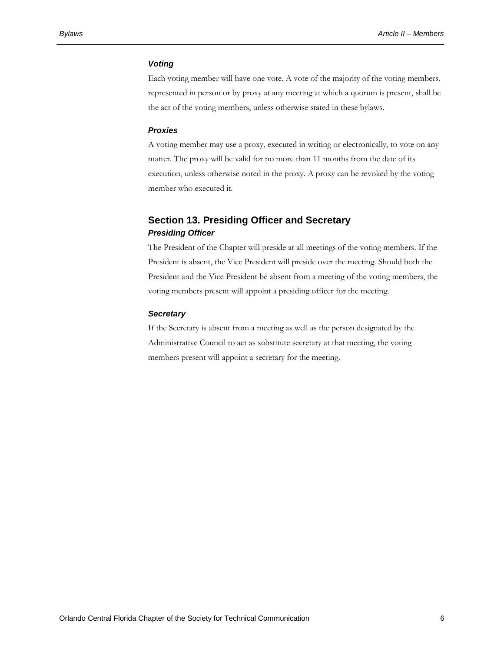#### <span id="page-8-0"></span>*Voting*

Each voting member will have one vote. A vote of the majority of the voting members, represented in person or by proxy at any meeting at which a quorum is present, shall be the act of the voting members, unless otherwise stated in these bylaws.

#### <span id="page-8-1"></span>*Proxies*

A voting member may use a proxy, executed in writing or electronically, to vote on any matter. The proxy will be valid for no more than 11 months from the date of its execution, unless otherwise noted in the proxy. A proxy can be revoked by the voting member who executed it.

# <span id="page-8-3"></span><span id="page-8-2"></span>**Section 13. Presiding Officer and Secretary** *Presiding Officer*

The President of the Chapter will preside at all meetings of the voting members. If the President is absent, the Vice President will preside over the meeting. Should both the President and the Vice President be absent from a meeting of the voting members, the voting members present will appoint a presiding officer for the meeting.

#### <span id="page-8-4"></span>*Secretary*

If the Secretary is absent from a meeting as well as the person designated by the Administrative Council to act as substitute secretary at that meeting, the voting members present will appoint a secretary for the meeting.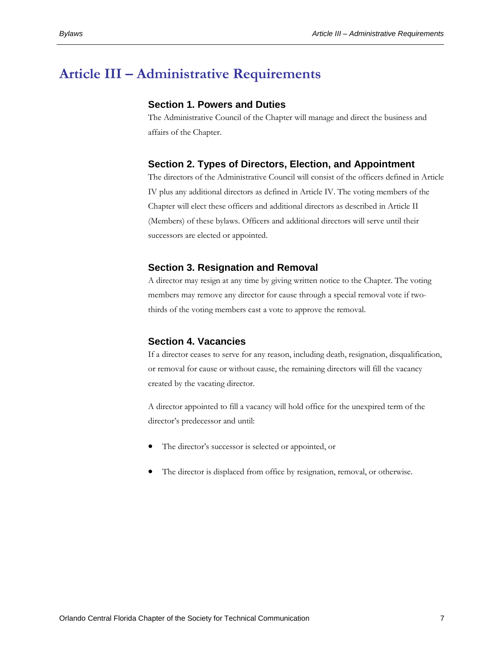# <span id="page-9-2"></span><span id="page-9-1"></span><span id="page-9-0"></span>**Article III – Administrative Requirements**

#### **Section 1. Powers and Duties**

The Administrative Council of the Chapter will manage and direct the business and affairs of the Chapter.

#### **Section 2. Types of Directors, Election, and Appointment**

The directors of the Administrative Council will consist of the officers defined in Article IV plus any additional directors as defined in Article IV. The voting members of the Chapter will elect these officers and additional directors as described in Article II (Members) of these bylaws. Officers and additional directors will serve until their successors are elected or appointed.

#### <span id="page-9-3"></span>**Section 3. Resignation and Removal**

A director may resign at any time by giving written notice to the Chapter. The voting members may remove any director for cause through a special removal vote if twothirds of the voting members cast a vote to approve the removal.

#### <span id="page-9-4"></span>**Section 4. Vacancies**

If a director ceases to serve for any reason, including death, resignation, disqualification, or removal for cause or without cause, the remaining directors will fill the vacancy created by the vacating director.

A director appointed to fill a vacancy will hold office for the unexpired term of the director's predecessor and until:

- The director's successor is selected or appointed, or
- The director is displaced from office by resignation, removal, or otherwise.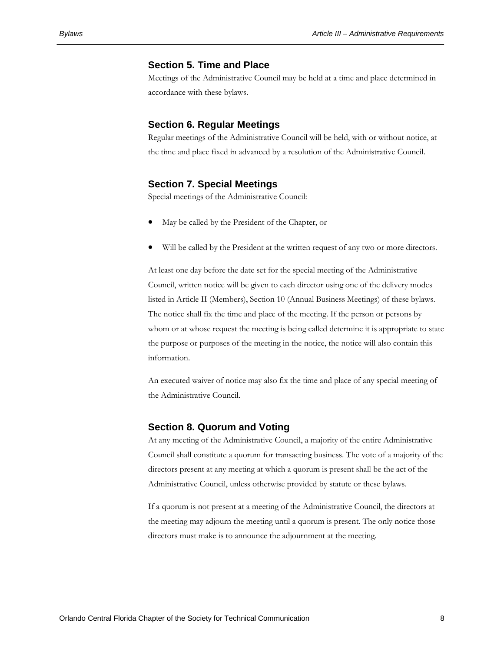### <span id="page-10-0"></span>**Section 5. Time and Place**

Meetings of the Administrative Council may be held at a time and place determined in accordance with these bylaws.

#### <span id="page-10-1"></span>**Section 6. Regular Meetings**

Regular meetings of the Administrative Council will be held, with or without notice, at the time and place fixed in advanced by a resolution of the Administrative Council.

### <span id="page-10-2"></span>**Section 7. Special Meetings**

Special meetings of the Administrative Council:

- May be called by the President of the Chapter, or
- Will be called by the President at the written request of any two or more directors.

At least one day before the date set for the special meeting of the Administrative Council, written notice will be given to each director using one of the delivery modes listed in Article II (Members), Section 10 (Annual Business Meetings) of these bylaws. The notice shall fix the time and place of the meeting. If the person or persons by whom or at whose request the meeting is being called determine it is appropriate to state the purpose or purposes of the meeting in the notice, the notice will also contain this information.

An executed waiver of notice may also fix the time and place of any special meeting of the Administrative Council.

#### <span id="page-10-3"></span>**Section 8. Quorum and Voting**

At any meeting of the Administrative Council, a majority of the entire Administrative Council shall constitute a quorum for transacting business. The vote of a majority of the directors present at any meeting at which a quorum is present shall be the act of the Administrative Council, unless otherwise provided by statute or these bylaws.

If a quorum is not present at a meeting of the Administrative Council, the directors at the meeting may adjourn the meeting until a quorum is present. The only notice those directors must make is to announce the adjournment at the meeting.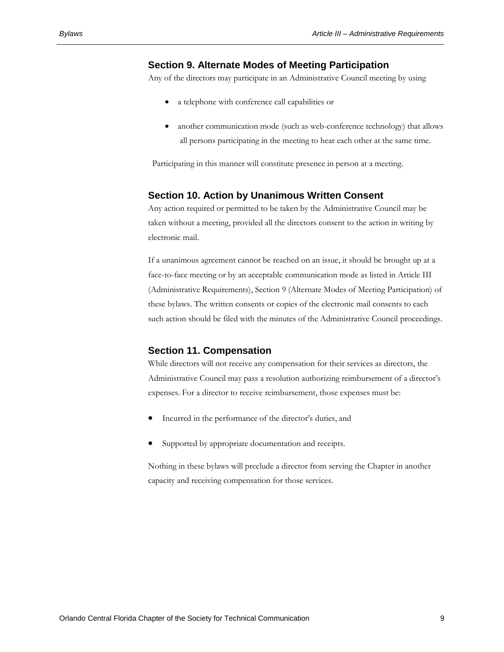#### <span id="page-11-0"></span>**Section 9. Alternate Modes of Meeting Participation**

Any of the directors may participate in an Administrative Council meeting by using

- a telephone with conference call capabilities or
- another communication mode (such as web-conference technology) that allows all persons participating in the meeting to hear each other at the same time.

Participating in this manner will constitute presence in person at a meeting.

#### <span id="page-11-1"></span>**Section 10. Action by Unanimous Written Consent**

Any action required or permitted to be taken by the Administrative Council may be taken without a meeting, provided all the directors consent to the action in writing by electronic mail.

If a unanimous agreement cannot be reached on an issue, it should be brought up at a face-to-face meeting or by an acceptable communication mode as listed in Article III (Administrative Requirements), Section 9 (Alternate Modes of Meeting Participation) of these bylaws. The written consents or copies of the electronic mail consents to each such action should be filed with the minutes of the Administrative Council proceedings.

#### <span id="page-11-2"></span>**Section 11. Compensation**

While directors will not receive any compensation for their services as directors, the Administrative Council may pass a resolution authorizing reimbursement of a director's expenses. For a director to receive reimbursement, those expenses must be:

- Incurred in the performance of the director's duties, and
- Supported by appropriate documentation and receipts.

Nothing in these bylaws will preclude a director from serving the Chapter in another capacity and receiving compensation for those services.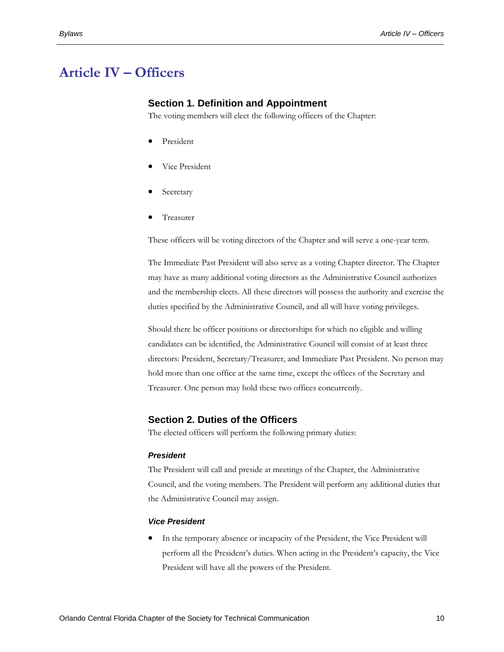# <span id="page-12-1"></span><span id="page-12-0"></span>**Article IV – Officers**

#### **Section 1. Definition and Appointment**

The voting members will elect the following officers of the Chapter:

- President
- Vice President
- Secretary
- Treasurer

These officers will be voting directors of the Chapter and will serve a one-year term.

The Immediate Past President will also serve as a voting Chapter director. The Chapter may have as many additional voting directors as the Administrative Council authorizes and the membership elects. All these directors will possess the authority and exercise the duties specified by the Administrative Council, and all will have voting privileges.

Should there be officer positions or directorships for which no eligible and willing candidates can be identified, the Administrative Council will consist of at least three directors: President, Secretary/Treasurer, and Immediate Past President. No person may hold more than one office at the same time, except the offices of the Secretary and Treasurer. One person may hold these two offices concurrently.

#### <span id="page-12-2"></span>**Section 2. Duties of the Officers**

The elected officers will perform the following primary duties:

#### <span id="page-12-3"></span>*President*

The President will call and preside at meetings of the Chapter, the Administrative Council, and the voting members. The President will perform any additional duties that the Administrative Council may assign.

#### <span id="page-12-4"></span>*Vice President*

 In the temporary absence or incapacity of the President, the Vice President will perform all the President's duties. When acting in the President's capacity, the Vice President will have all the powers of the President.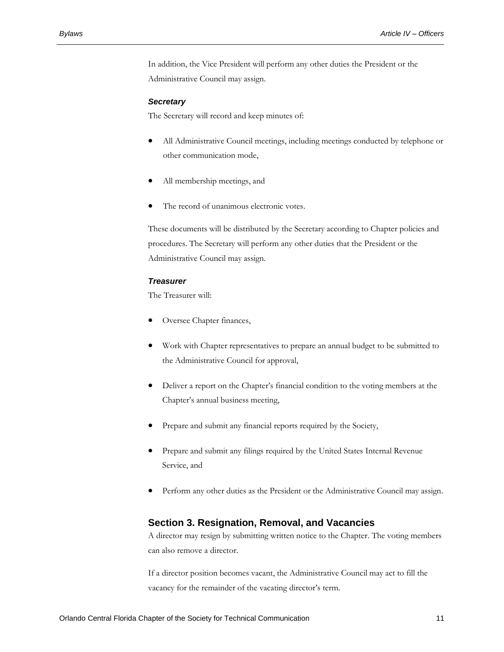In addition, the Vice President will perform any other duties the President or the Administrative Council may assign.

#### <span id="page-13-0"></span>*Secretary*

The Secretary will record and keep minutes of:

- All Administrative Council meetings, including meetings conducted by telephone or other communication mode,
- All membership meetings, and
- The record of unanimous electronic votes.

These documents will be distributed by the Secretary according to Chapter policies and procedures. The Secretary will perform any other duties that the President or the Administrative Council may assign.

#### *Treasurer*

<span id="page-13-1"></span>The Treasurer will:

- Oversee Chapter finances,
- Work with Chapter representatives to prepare an annual budget to be submitted to the Administrative Council for approval,
- Deliver a report on the Chapter's financial condition to the voting members at the Chapter's annual business meeting,
- Prepare and submit any financial reports required by the Society,
- Prepare and submit any filings required by the United States Internal Revenue Service, and
- Perform any other duties as the President or the Administrative Council may assign.

#### <span id="page-13-2"></span>**Section 3. Resignation, Removal, and Vacancies**

A director may resign by submitting written notice to the Chapter. The voting members can also remove a director.

If a director position becomes vacant, the Administrative Council may act to fill the vacancy for the remainder of the vacating director's term.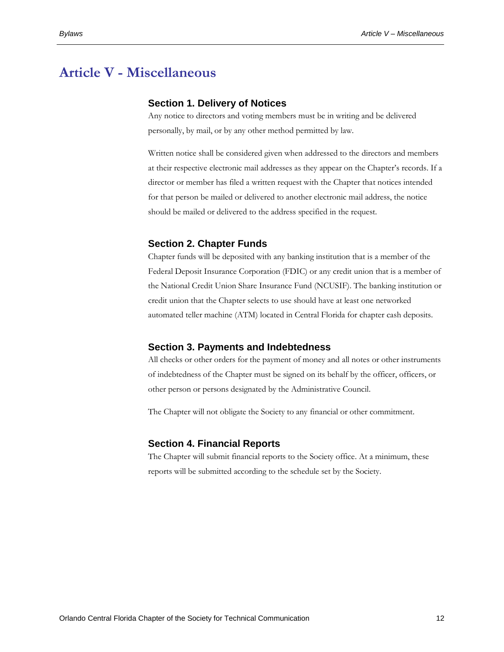# <span id="page-14-1"></span><span id="page-14-0"></span>**Article V - Miscellaneous**

#### **Section 1. Delivery of Notices**

Any notice to directors and voting members must be in writing and be delivered personally, by mail, or by any other method permitted by law.

Written notice shall be considered given when addressed to the directors and members at their respective electronic mail addresses as they appear on the Chapter's records. If a director or member has filed a written request with the Chapter that notices intended for that person be mailed or delivered to another electronic mail address, the notice should be mailed or delivered to the address specified in the request.

### <span id="page-14-2"></span>**Section 2. Chapter Funds**

Chapter funds will be deposited with any banking institution that is a member of the Federal Deposit Insurance Corporation (FDIC) or any credit union that is a member of the National Credit Union Share Insurance Fund (NCUSIF). The banking institution or credit union that the Chapter selects to use should have at least one networked automated teller machine (ATM) located in Central Florida for chapter cash deposits.

#### <span id="page-14-3"></span>**Section 3. Payments and Indebtedness**

All checks or other orders for the payment of money and all notes or other instruments of indebtedness of the Chapter must be signed on its behalf by the officer, officers, or other person or persons designated by the Administrative Council.

The Chapter will not obligate the Society to any financial or other commitment.

#### <span id="page-14-4"></span>**Section 4. Financial Reports**

The Chapter will submit financial reports to the Society office. At a minimum, these reports will be submitted according to the schedule set by the Society.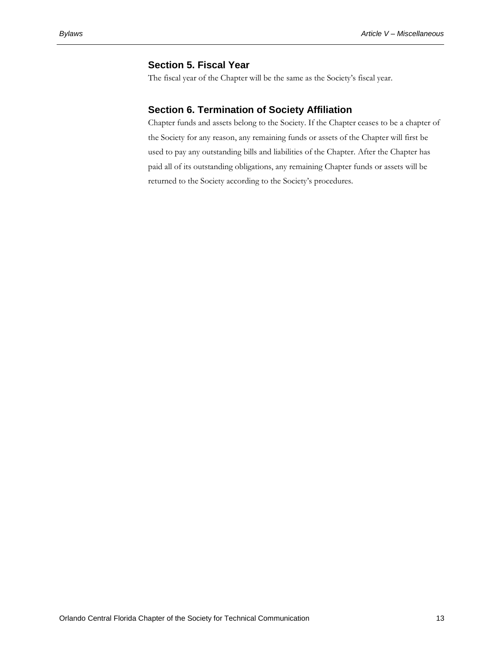### **Section 5. Fiscal Year**

<span id="page-15-0"></span>The fiscal year of the Chapter will be the same as the Society's fiscal year.

## <span id="page-15-1"></span>**Section 6. Termination of Society Affiliation**

Chapter funds and assets belong to the Society. If the Chapter ceases to be a chapter of the Society for any reason, any remaining funds or assets of the Chapter will first be used to pay any outstanding bills and liabilities of the Chapter. After the Chapter has paid all of its outstanding obligations, any remaining Chapter funds or assets will be returned to the Society according to the Society's procedures.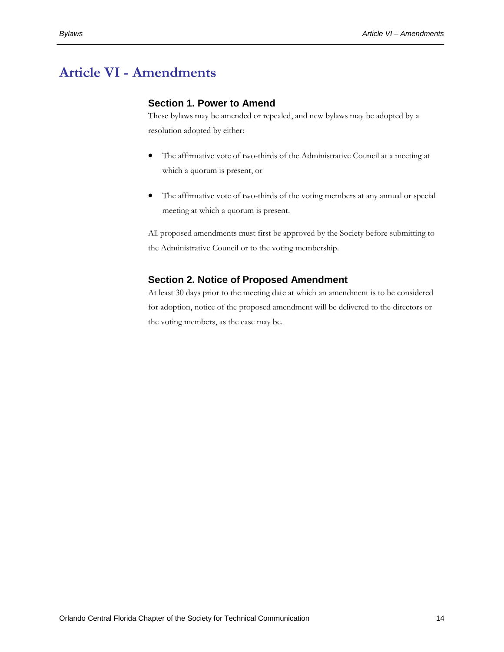# <span id="page-16-1"></span><span id="page-16-0"></span>**Article VI - Amendments**

## **Section 1. Power to Amend**

These bylaws may be amended or repealed, and new bylaws may be adopted by a resolution adopted by either:

- The affirmative vote of two-thirds of the Administrative Council at a meeting at which a quorum is present, or
- The affirmative vote of two-thirds of the voting members at any annual or special meeting at which a quorum is present.

All proposed amendments must first be approved by the Society before submitting to the Administrative Council or to the voting membership.

# <span id="page-16-2"></span>**Section 2. Notice of Proposed Amendment**

At least 30 days prior to the meeting date at which an amendment is to be considered for adoption, notice of the proposed amendment will be delivered to the directors or the voting members, as the case may be.